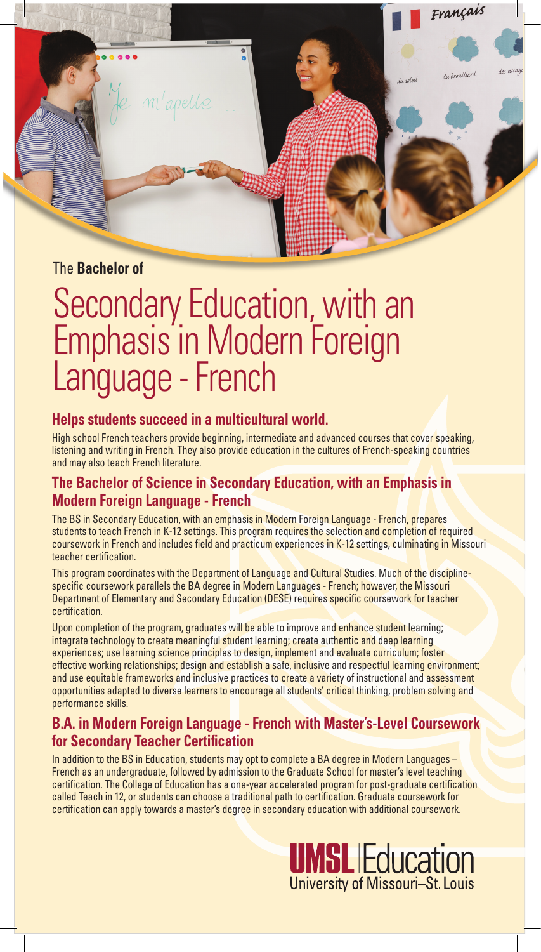

# Secondary Education, with an

# Emphasis in Modern Foreign Language - French

### **Helps students succeed in a multicultural world.**

High school French teachers provide beginning, intermediate and advanced courses that cover speaking, listening and writing in French. They also provide education in the cultures of French-speaking countries and may also teach French literature.

# **The Bachelor of Science in Secondary Education, with an Emphasis in Modern Foreign Language - French**

The BS in Secondary Education, with an emphasis in Modern Foreign Language - French, prepares students to teach French in K-12 settings. This program requires the selection and completion of required coursework in French and includes field and practicum experiences in K-12 settings, culminating in Missouri teacher certification.

This program coordinates with the Department of Language and Cultural Studies. Much of the disciplinespecific coursework parallels the BA degree in Modern Languages - French; however, the Missouri Department of Elementary and Secondary Education (DESE) requires specific coursework for teacher certification.

Upon completion of the program, graduates will be able to improve and enhance student learning; integrate technology to create meaningful student learning; create authentic and deep learning experiences; use learning science principles to design, implement and evaluate curriculum; foster effective working relationships; design and establish a safe, inclusive and respectful learning environment; and use equitable frameworks and inclusive practices to create a variety of instructional and assessment opportunities adapted to diverse learners to encourage all students' critical thinking, problem solving and performance skills.

# **B.A. in Modern Foreign Language - French with Master's-Level Coursework for Secondary Teacher Certification**

In addition to the BS in Education, students may opt to complete a BA degree in Modern Languages – French as an undergraduate, followed by admission to the Graduate School for master's level teaching certification. The College of Education has a one-year accelerated program for post-graduate certification called Teach in 12, or students can choose a traditional path to certification. Graduate coursework for certification can apply towards a master's degree in secondary education with additional coursework.